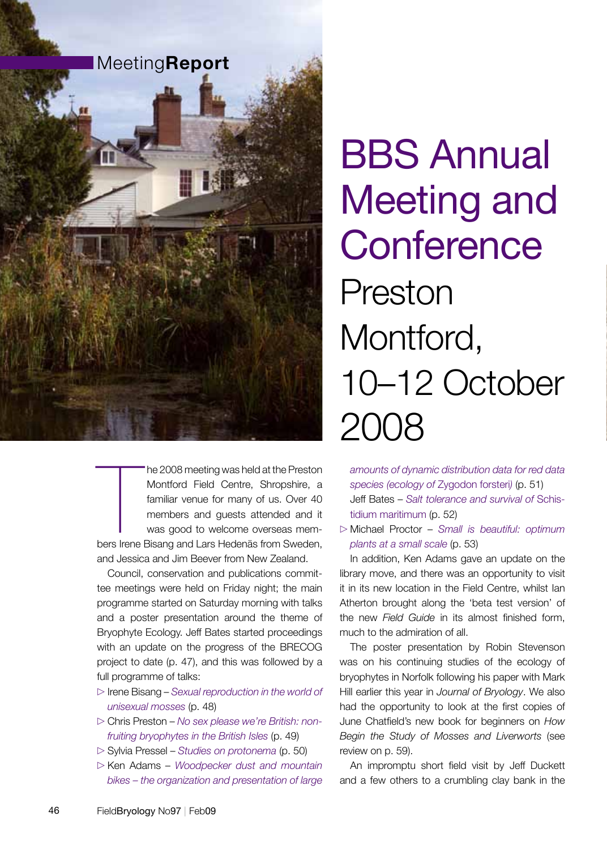

The 2008 meeting was held at the Preston<br>
Montford Field Centre, Shropshire, a<br>
familiar venue for many of us. Over 40<br>
members and guests attended and it<br>
was good to welcome overseas mem-<br>
bers Irene Bisang and Lars Hede he 2008 meeting was held at the Preston Montford Field Centre, Shropshire, a familiar venue for many of us. Over 40 members and guests attended and it was good to welcome overseas memand Jessica and Jim Beever from New Zealand.

Council, conservation and publications committee meetings were held on Friday night; the main programme started on Saturday morning with talks and a poster presentation around the theme of Bryophyte Ecology. Jeff Bates started proceedings with an update on the progress of the BRECOG project to date (p. 47), and this was followed by a full programme of talks:

- x Irene Bisang – *Sexual reproduction in the world of unisexual mosses* (p. 48)
- x Chris Preston *No sex please we're British: nonfruiting bryophytes in the British Isles* (p. 49)
- x Sylvia Pressel *Studies on protonema* (p. 50)
- x Ken Adams *Woodpecker dust and mountain bikes – the organization and presentation of large*

# BBS Annual Meeting and **Conference** Preston Montford, 10–12 October 2008

*amounts of dynamic distribution data for red data species (ecology of* Zygodon forsteri*)* (p. 51) Jeff Bates – *Salt tolerance and survival of* Schistidium maritimum (p. 52)

x Michael Proctor – *Small is beautiful: optimum plants at a small scale* (p. 53)

In addition, Ken Adams gave an update on the library move, and there was an opportunity to visit it in its new location in the Field Centre, whilst Ian Atherton brought along the 'beta test version' of the new *Field Guide* in its almost finished form, much to the admiration of all.

The poster presentation by Robin Stevenson was on his continuing studies of the ecology of bryophytes in Norfolk following his paper with Mark Hill earlier this year in *Journal of Bryology*. We also had the opportunity to look at the first copies of June Chatfield's new book for beginners on *How Begin the Study of Mosses and Liverworts* (see review on p. 59).

An impromptu short field visit by Jeff Duckett and a few others to a crumbling clay bank in the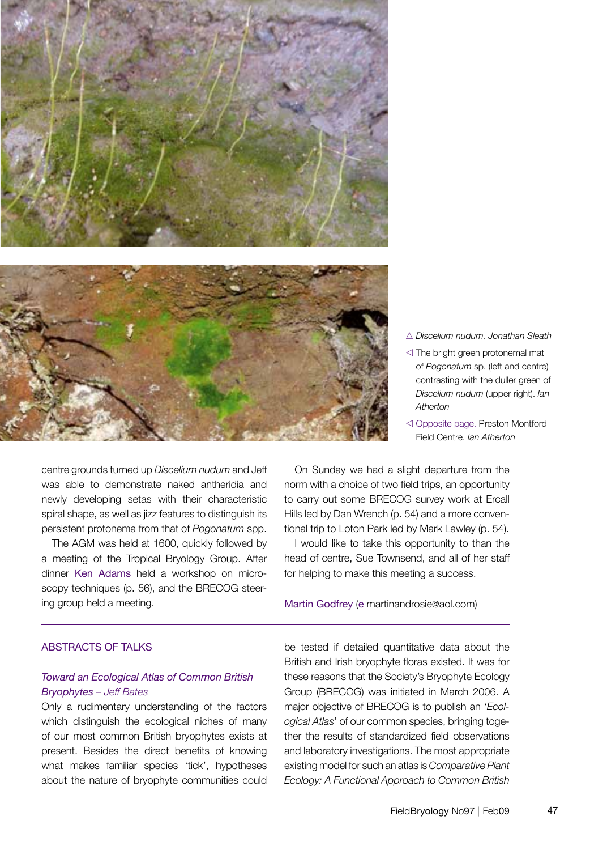

- n *Discelium nudum*. *Jonathan Sleath*
- $\triangleleft$  The bright green protonemal mat of *Pogonatum* sp. (left and centre) contrasting with the duller green of *Discelium nudum* (upper right). *Ian Atherton*
- $\triangleleft$  Opposite page. Preston Montford Field Centre. *Ian Atherton*

centre grounds turned up *Discelium nudum* and Jeff was able to demonstrate naked antheridia and newly developing setas with their characteristic spiral shape, as well as jizz features to distinguish its persistent protonema from that of *Pogonatum* spp.

The AGM was held at 1600, quickly followed by a meeting of the Tropical Bryology Group. After dinner Ken Adams held a workshop on microscopy techniques (p. 56), and the BRECOG steering group held a meeting.

On Sunday we had a slight departure from the norm with a choice of two field trips, an opportunity to carry out some BRECOG survey work at Ercall Hills led by Dan Wrench (p. 54) and a more conventional trip to Loton Park led by Mark Lawley (p. 54).

I would like to take this opportunity to than the head of centre, Sue Townsend, and all of her staff for helping to make this meeting a success.

Martin Godfrey (e martinandrosie@aol.com)

#### ABSTRACTS OF TALKS

#### *Toward an Ecological Atlas of Common British Bryophytes – Jeff Bates*

Only a rudimentary understanding of the factors which distinguish the ecological niches of many of our most common British bryophytes exists at present. Besides the direct benefits of knowing what makes familiar species 'tick', hypotheses about the nature of bryophyte communities could be tested if detailed quantitative data about the British and Irish bryophyte floras existed. It was for these reasons that the Society's Bryophyte Ecology Group (BRECOG) was initiated in March 2006. A major objective of BRECOG is to publish an '*Ecological Atlas*' of our common species, bringing together the results of standardized field observations and laboratory investigations. The most appropriate existing model for such an atlas is *Comparative Plant Ecology: A Functional Approach to Common British*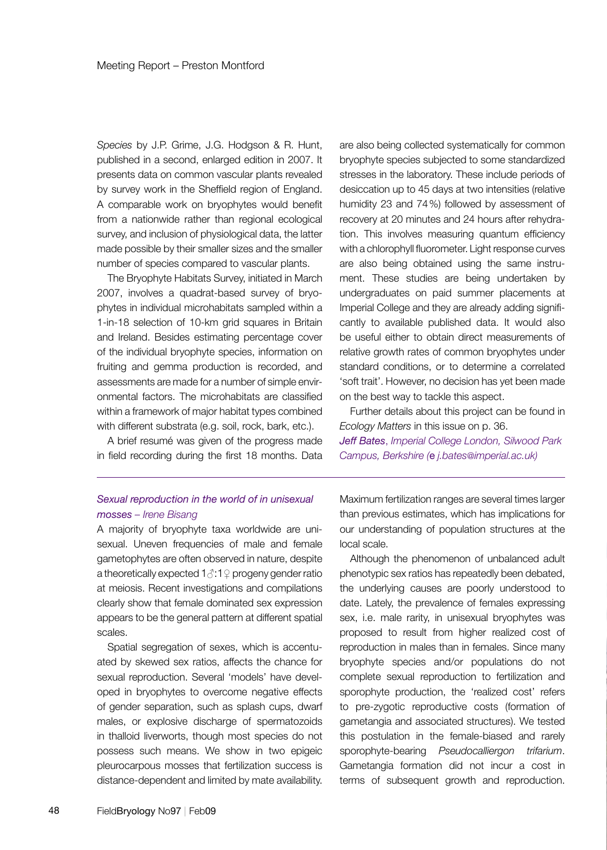*Species* by J.P. Grime, J.G. Hodgson & R. Hunt, published in a second, enlarged edition in 2007. It presents data on common vascular plants revealed by survey work in the Sheffield region of England. A comparable work on bryophytes would benefit from a nationwide rather than regional ecological survey, and inclusion of physiological data, the latter made possible by their smaller sizes and the smaller number of species compared to vascular plants.

The Bryophyte Habitats Survey, initiated in March 2007, involves a quadrat-based survey of bryophytes in individual microhabitats sampled within a 1-in-18 selection of 10-km grid squares in Britain and Ireland. Besides estimating percentage cover of the individual bryophyte species, information on fruiting and gemma production is recorded, and assessments are made for a number of simple environmental factors. The microhabitats are classified within a framework of major habitat types combined with different substrata (e.g. soil, rock, bark, etc.).

A brief resumé was given of the progress made in field recording during the first 18 months. Data are also being collected systematically for common bryophyte species subjected to some standardized stresses in the laboratory. These include periods of desiccation up to 45 days at two intensities (relative humidity 23 and 74%) followed by assessment of recovery at 20 minutes and 24 hours after rehydration. This involves measuring quantum efficiency with a chlorophyll fluorometer. Light response curves are also being obtained using the same instrument. These studies are being undertaken by undergraduates on paid summer placements at Imperial College and they are already adding significantly to available published data. It would also be useful either to obtain direct measurements of relative growth rates of common bryophytes under standard conditions, or to determine a correlated 'soft trait'. However, no decision has yet been made on the best way to tackle this aspect.

Further details about this project can be found in *Ecology Matters* in this issue on p. 36. *Jeff Bates*, *Imperial College London, Silwood Park Campus, Berkshire (*e *j.bates@imperial.ac.uk)*

#### *Sexual reproduction in the world of in unisexual mosses – Irene Bisang*

A majority of bryophyte taxa worldwide are unisexual. Uneven frequencies of male and female gametophytes are often observed in nature, despite a theoretically expected  $1 \text{ } \textcircled{3}$ : 1  $\textcircled{2}$  progeny gender ratio at meiosis. Recent investigations and compilations clearly show that female dominated sex expression appears to be the general pattern at different spatial scales.

Spatial segregation of sexes, which is accentuated by skewed sex ratios, affects the chance for sexual reproduction. Several 'models' have developed in bryophytes to overcome negative effects of gender separation, such as splash cups, dwarf males, or explosive discharge of spermatozoids in thalloid liverworts, though most species do not possess such means. We show in two epigeic pleurocarpous mosses that fertilization success is distance-dependent and limited by mate availability.

Maximum fertilization ranges are several times larger than previous estimates, which has implications for our understanding of population structures at the local scale.

Although the phenomenon of unbalanced adult phenotypic sex ratios has repeatedly been debated, the underlying causes are poorly understood to date. Lately, the prevalence of females expressing sex, i.e. male rarity, in unisexual bryophytes was proposed to result from higher realized cost of reproduction in males than in females. Since many bryophyte species and/or populations do not complete sexual reproduction to fertilization and sporophyte production, the 'realized cost' refers to pre-zygotic reproductive costs (formation of gametangia and associated structures). We tested this postulation in the female-biased and rarely sporophyte-bearing *Pseudocalliergon trifarium*. Gametangia formation did not incur a cost in terms of subsequent growth and reproduction.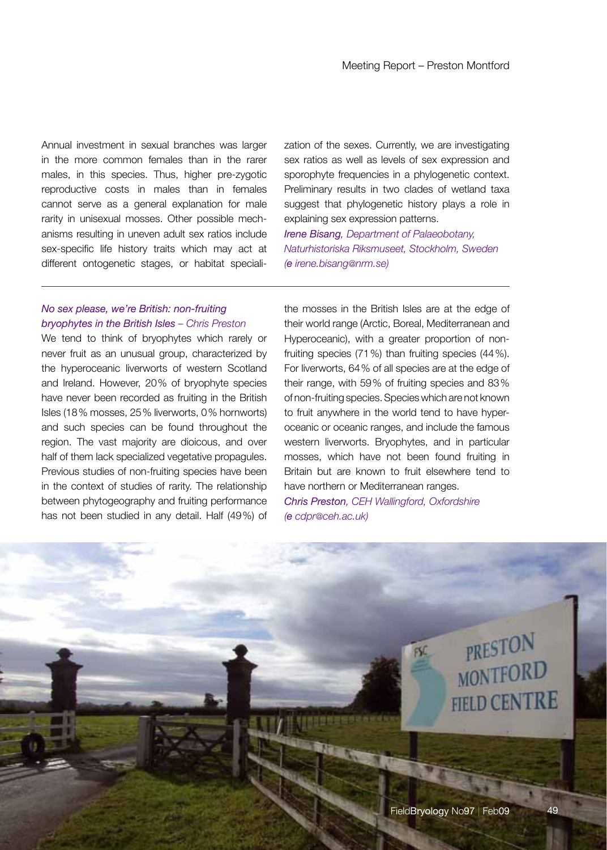Annual investment in sexual branches was larger in the more common females than in the rarer males, in this species. Thus, higher pre-zygotic reproductive costs in males than in females cannot serve as a general explanation for male rarity in unisexual mosses. Other possible mechanisms resulting in uneven adult sex ratios include sex-specific life history traits which may act at different ontogenetic stages, or habitat specialization of the sexes. Currently, we are investigating sex ratios as well as levels of sex expression and sporophyte frequencies in a phylogenetic context. Preliminary results in two clades of wetland taxa suggest that phylogenetic history plays a role in explaining sex expression patterns.

*Irene Bisang, Department of Palaeobotany, Naturhistoriska Riksmuseet, Stockholm, Sweden (e irene.bisang@nrm.se)*

# *No sex please, we're British: non-fruiting bryophytes in the British Isles – Chris Preston*

We tend to think of bryophytes which rarely or never fruit as an unusual group, characterized by the hyperoceanic liverworts of western Scotland and Ireland. However, 20% of bryophyte species have never been recorded as fruiting in the British Isles (18% mosses, 25% liverworts, 0% hornworts) and such species can be found throughout the region. The vast majority are dioicous, and over half of them lack specialized vegetative propagules. Previous studies of non-fruiting species have been in the context of studies of rarity. The relationship between phytogeography and fruiting performance has not been studied in any detail. Half (49%) of the mosses in the British Isles are at the edge of their world range (Arctic, Boreal, Mediterranean and Hyperoceanic), with a greater proportion of nonfruiting species (71%) than fruiting species (44%). For liverworts, 64% of all species are at the edge of their range, with 59% of fruiting species and 83% of non-fruiting species. Species which are not known to fruit anywhere in the world tend to have hyperoceanic or oceanic ranges, and include the famous western liverworts. Bryophytes, and in particular mosses, which have not been found fruiting in Britain but are known to fruit elsewhere tend to have northern or Mediterranean ranges. *Chris Preston, CEH Wallingford, Oxfordshire (e cdpr@ceh.ac.uk)* 

PRESTON

**MONTFORD** 

**FIELD CENTRE**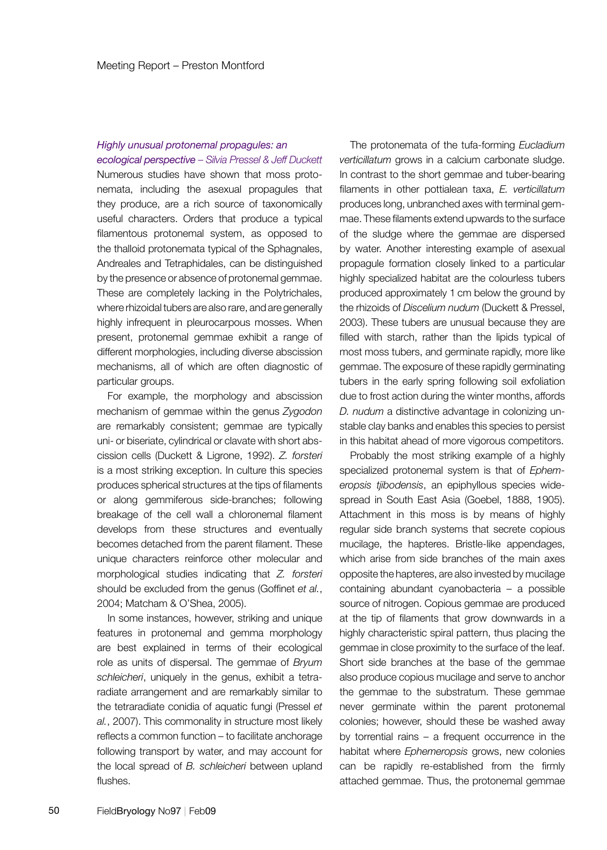#### *Highly unusual protonemal propagules: an ecological perspective – Silvia Pressel & Jeff Duckett*

Numerous studies have shown that moss protonemata, including the asexual propagules that they produce, are a rich source of taxonomically useful characters. Orders that produce a typical filamentous protonemal system, as opposed to the thalloid protonemata typical of the Sphagnales, Andreales and Tetraphidales, can be distinguished by the presence or absence of protonemal gemmae. These are completely lacking in the Polytrichales, where rhizoidal tubers are also rare, and are generally highly infrequent in pleurocarpous mosses. When present, protonemal gemmae exhibit a range of different morphologies, including diverse abscission mechanisms, all of which are often diagnostic of particular groups.

For example, the morphology and abscission mechanism of gemmae within the genus *Zygodon* are remarkably consistent; gemmae are typically uni- or biseriate, cylindrical or clavate with short abscission cells (Duckett & Ligrone, 1992). *Z. forsteri* is a most striking exception. In culture this species produces spherical structures at the tips of filaments or along gemmiferous side-branches; following breakage of the cell wall a chloronemal filament develops from these structures and eventually becomes detached from the parent filament. These unique characters reinforce other molecular and morphological studies indicating that *Z. forsteri*  should be excluded from the genus (Goffinet *et al.*, 2004; Matcham & O'Shea, 2005).

In some instances, however, striking and unique features in protonemal and gemma morphology are best explained in terms of their ecological role as units of dispersal. The gemmae of *Bryum schleicheri*, uniquely in the genus, exhibit a tetraradiate arrangement and are remarkably similar to the tetraradiate conidia of aquatic fungi (Pressel *et al.*, 2007). This commonality in structure most likely reflects a common function – to facilitate anchorage following transport by water, and may account for the local spread of *B. schleicheri* between upland flushes.

The protonemata of the tufa-forming *Eucladium verticillatum* grows in a calcium carbonate sludge. In contrast to the short gemmae and tuber-bearing filaments in other pottialean taxa, *E. verticillatum* produces long, unbranched axes with terminal gemmae. These filaments extend upwards to the surface of the sludge where the gemmae are dispersed by water. Another interesting example of asexual propagule formation closely linked to a particular highly specialized habitat are the colourless tubers produced approximately 1 cm below the ground by the rhizoids of *Discelium nudum* (Duckett & Pressel, 2003). These tubers are unusual because they are filled with starch, rather than the lipids typical of most moss tubers, and germinate rapidly, more like gemmae. The exposure of these rapidly germinating tubers in the early spring following soil exfoliation due to frost action during the winter months, affords *D. nudum* a distinctive advantage in colonizing unstable clay banks and enables this species to persist in this habitat ahead of more vigorous competitors.

Probably the most striking example of a highly specialized protonemal system is that of *Ephemeropsis tjibodensis*, an epiphyllous species widespread in South East Asia (Goebel, 1888, 1905). Attachment in this moss is by means of highly regular side branch systems that secrete copious mucilage, the hapteres. Bristle-like appendages, which arise from side branches of the main axes opposite the hapteres, are also invested by mucilage containing abundant cyanobacteria – a possible source of nitrogen. Copious gemmae are produced at the tip of filaments that grow downwards in a highly characteristic spiral pattern, thus placing the gemmae in close proximity to the surface of the leaf. Short side branches at the base of the gemmae also produce copious mucilage and serve to anchor the gemmae to the substratum. These gemmae never germinate within the parent protonemal colonies; however, should these be washed away by torrential rains – a frequent occurrence in the habitat where *Ephemeropsis* grows, new colonies can be rapidly re-established from the firmly attached gemmae. Thus, the protonemal gemmae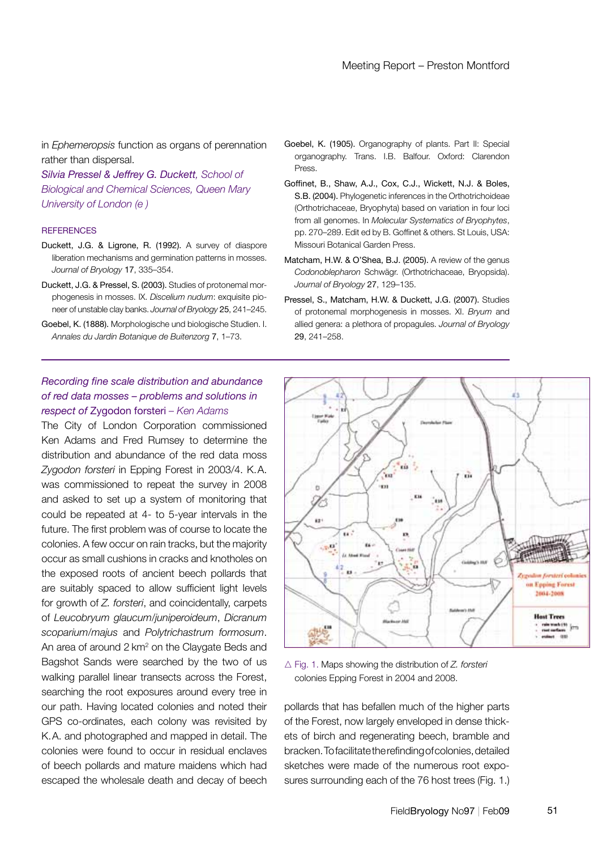in *Ephemeropsis* function as organs of perennation rather than dispersal.

*Silvia Pressel & Jeffrey G. Duckett, School of Biological and Chemical Sciences, Queen Mary University of London (e )*

- Duckett, J.G. & Ligrone, R. (1992). A survey of diaspore liberation mechanisms and germination patterns in mosses. *Journal of Bryology* 17, 335–354.
- Duckett, J.G. & Pressel, S. (2003). Studies of protonemal morphogenesis in mosses. IX. *Discelium nudum*: exquisite pioneer of unstable clay banks. *Journal of Bryology* 25, 241–245.
- Goebel, K. (1888). Morphologische und biologische Studien. I. *Annales du Jardin Botanique de Buitenzorg* 7, 1–73.

# *Recording fine scale distribution and abundance of red data mosses – problems and solutions in respect of* Zygodon forsteri *– Ken Adams*

The City of London Corporation commissioned Ken Adams and Fred Rumsey to determine the distribution and abundance of the red data moss *Zygodon forsteri* in Epping Forest in 2003/4. K.A. was commissioned to repeat the survey in 2008 and asked to set up a system of monitoring that could be repeated at 4- to 5-year intervals in the future. The first problem was of course to locate the colonies. A few occur on rain tracks, but the majority occur as small cushions in cracks and knotholes on the exposed roots of ancient beech pollards that are suitably spaced to allow sufficient light levels for growth of *Z. forsteri*, and coincidentally, carpets of *Leucobryum glaucum*/*juniperoideum*, *Dicranum scoparium*/*majus* and *Polytrichastrum formosum*. An area of around 2 km<sup>2</sup> on the Claygate Beds and Bagshot Sands were searched by the two of us walking parallel linear transects across the Forest, searching the root exposures around every tree in our path. Having located colonies and noted their GPS co-ordinates, each colony was revisited by K.A. and photographed and mapped in detail. The colonies were found to occur in residual enclaves of beech pollards and mature maidens which had escaped the wholesale death and decay of beech

- Goebel, K. (1905). Organography of plants. Part II: Special organography. Trans. I.B. Balfour. Oxford: Clarendon Press.
- References pp. 270–289. Edit ed by B. Goffinet & others. St Louis, USA: Goffinet, B., Shaw, A.J., Cox, C.J., Wickett, N.J. & Boles, S.B. (2004). Phylogenetic inferences in the Orthotrichoideae (Orthotrichaceae, Bryophyta) based on variation in four loci from all genomes. In *Molecular Systematics of Bryophytes*, Missouri Botanical Garden Press.
	- Matcham, H.W. & O'Shea, B.J. (2005). A review of the genus *Codonoblepharon* Schwägr. (Orthotrichaceae, Bryopsida). *Journal of Bryology* 27, 129–135.
	- Pressel, S., Matcham, H.W. & Duckett, J.G. (2007). Studies of protonemal morphogenesis in mosses. XI. *Bryum* and allied genera: a plethora of propagules. *Journal of Bryology* 29, 241–258.



△ Fig. 1. Maps showing the distribution of *Z. forsteri* colonies Epping Forest in 2004 and 2008.

pollards that has befallen much of the higher parts of the Forest, now largely enveloped in dense thickets of birch and regenerating beech, bramble and bracken. To facilitate the refinding of colonies, detailed sketches were made of the numerous root exposures surrounding each of the 76 host trees (Fig. 1.)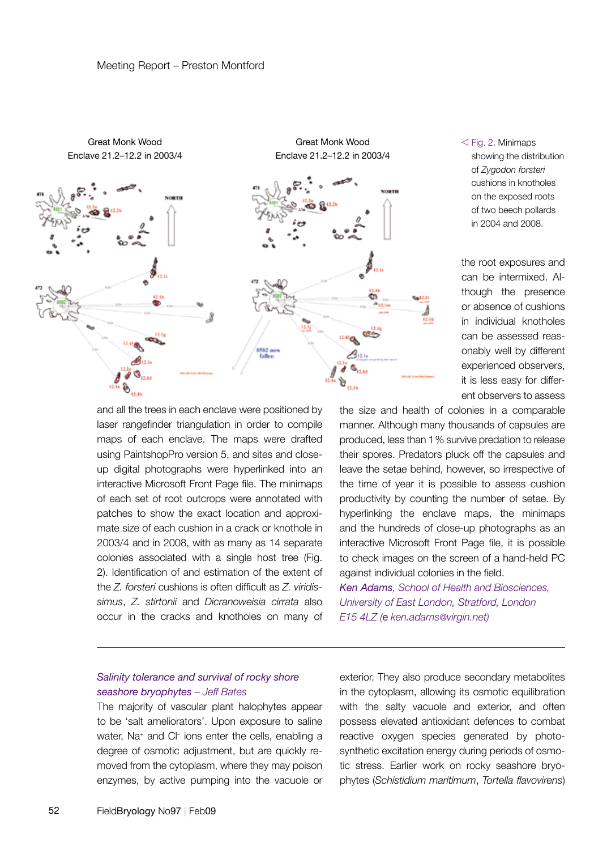



the root exposures and can be intermixed. Although the presence or absence of cushions in individual knotholes can be assessed reasonably well by different experienced observers, it is less easy for different observers to assess

and all the trees in each enclave were positioned by laser rangefinder triangulation in order to compile maps of each enclave. The maps were drafted using PaintshopPro version 5, and sites and closeup digital photographs were hyperlinked into an interactive Microsoft Front Page file. The minimaps of each set of root outcrops were annotated with patches to show the exact location and approximate size of each cushion in a crack or knothole in 2003/4 and in 2008, with as many as 14 separate colonies associated with a single host tree (Fig. 2). Identification of and estimation of the extent of the *Z. forsteri* cushions is often difficult as *Z. viridissimus*, *Z. stirtonii* and *Dicranoweisia cirrata* also occur in the cracks and knotholes on many of the size and health of colonies in a comparable manner. Although many thousands of capsules are produced, less than 1% survive predation to release their spores. Predators pluck off the capsules and leave the setae behind, however, so irrespective of the time of year it is possible to assess cushion productivity by counting the number of setae. By hyperlinking the enclave maps, the minimaps and the hundreds of close-up photographs as an interactive Microsoft Front Page file, it is possible to check images on the screen of a hand-held PC against individual colonies in the field.

*Ken Adams, School of Health and Biosciences, University of East London, Stratford, London E15 4LZ (*e *ken.adams@virgin.net)*

# *Salinity tolerance and survival of rocky shore seashore bryophytes – Jeff Bates*

The majority of vascular plant halophytes appear to be 'salt ameliorators'. Upon exposure to saline water, Na<sup>+</sup> and Cl<sup>-</sup> ions enter the cells, enabling a degree of osmotic adjustment, but are quickly removed from the cytoplasm, where they may poison enzymes, by active pumping into the vacuole or exterior. They also produce secondary metabolites in the cytoplasm, allowing its osmotic equilibration with the salty vacuole and exterior, and often possess elevated antioxidant defences to combat reactive oxygen species generated by photosynthetic excitation energy during periods of osmotic stress. Earlier work on rocky seashore bryophytes (*Schistidium maritimum*, *Tortella flavovirens*)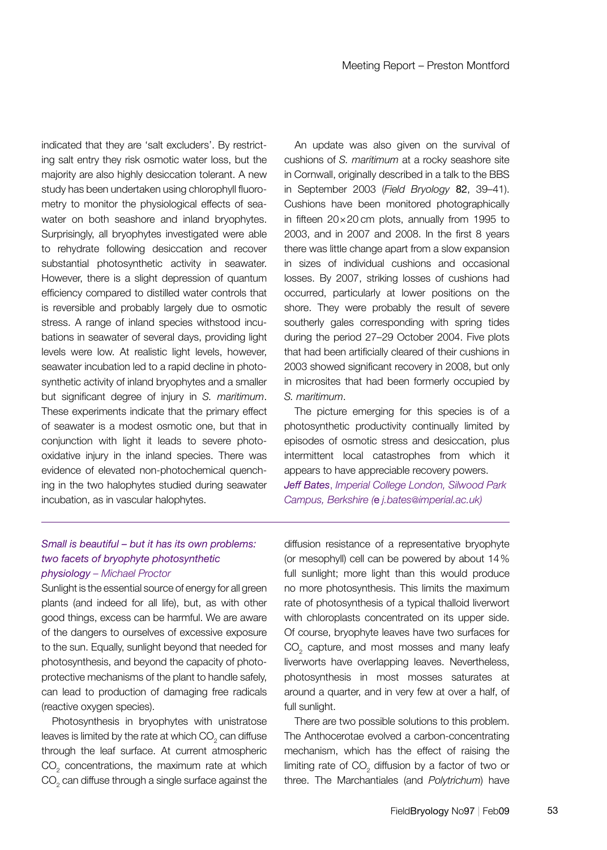indicated that they are 'salt excluders'. By restricting salt entry they risk osmotic water loss, but the majority are also highly desiccation tolerant. A new study has been undertaken using chlorophyll fluorometry to monitor the physiological effects of seawater on both seashore and inland bryophytes. Surprisingly, all bryophytes investigated were able to rehydrate following desiccation and recover substantial photosynthetic activity in seawater. However, there is a slight depression of quantum efficiency compared to distilled water controls that is reversible and probably largely due to osmotic stress. A range of inland species withstood incubations in seawater of several days, providing light levels were low. At realistic light levels, however, seawater incubation led to a rapid decline in photosynthetic activity of inland bryophytes and a smaller but significant degree of injury in *S. maritimum*. These experiments indicate that the primary effect of seawater is a modest osmotic one, but that in conjunction with light it leads to severe photooxidative injury in the inland species. There was evidence of elevated non-photochemical quenching in the two halophytes studied during seawater incubation, as in vascular halophytes. Enclave 21.2–12.2 in 2003/4

An update was also given on the survival of cushions of *S. maritimum* at a rocky seashore site in Cornwall, originally described in a talk to the BBS in September 2003 (*Field Bryology* 82, 39–41). Cushions have been monitored photographically in fifteen 20×20 cm plots, annually from 1995 to 2003, and in 2007 and 2008. In the first 8 years there was little change apart from a slow expansion in sizes of individual cushions and occasional losses. By 2007, striking losses of cushions had occurred, particularly at lower positions on the shore. They were probably the result of severe southerly gales corresponding with spring tides during the period 27–29 October 2004. Five plots that had been artificially cleared of their cushions in 2003 showed significant recovery in 2008, but only in microsites that had been formerly occupied by *S. maritimum*.

The picture emerging for this species is of a photosynthetic productivity continually limited by episodes of osmotic stress and desiccation, plus intermittent local catastrophes from which it appears to have appreciable recovery powers. *Jeff Bates*, *Imperial College London, Silwood Park* 

*Campus, Berkshire (*e *j.bates@imperial.ac.uk)*

#### *Small is beautiful – but it has its own problems: two facets of bryophyte photosynthetic physiology – Michael Proctor*

Sunlight is the essential source of energy for all green plants (and indeed for all life), but, as with other good things, excess can be harmful. We are aware of the dangers to ourselves of excessive exposure to the sun. Equally, sunlight beyond that needed for photosynthesis, and beyond the capacity of photoprotective mechanisms of the plant to handle safely, can lead to production of damaging free radicals (reactive oxygen species).

Photosynthesis in bryophytes with unistratose leaves is limited by the rate at which CO<sub>2</sub> can diffuse through the leaf surface. At current atmospheric  $CO<sub>2</sub>$  concentrations, the maximum rate at which  $\mathrm{CO}_2^{}$  can diffuse through a single surface against the diffusion resistance of a representative bryophyte (or mesophyll) cell can be powered by about 14% full sunlight; more light than this would produce no more photosynthesis. This limits the maximum rate of photosynthesis of a typical thalloid liverwort with chloroplasts concentrated on its upper side. Of course, bryophyte leaves have two surfaces for  $CO<sub>2</sub>$  capture, and most mosses and many leafy liverworts have overlapping leaves. Nevertheless, photosynthesis in most mosses saturates at around a quarter, and in very few at over a half, of full sunlight.

There are two possible solutions to this problem. The Anthocerotae evolved a carbon-concentrating mechanism, which has the effect of raising the limiting rate of  $\mathrm{CO}_2^{}$  diffusion by a factor of two or three. The Marchantiales (and *Polytrichum*) have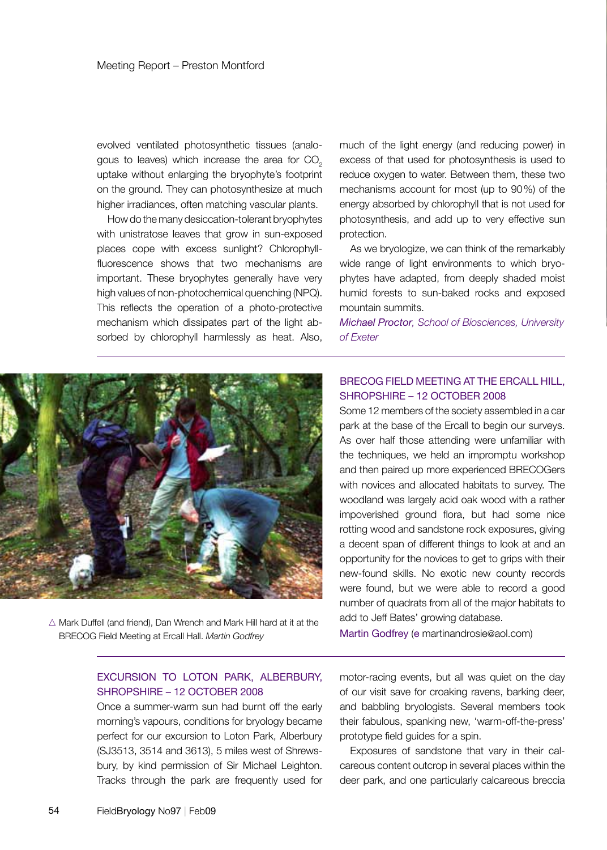evolved ventilated photosynthetic tissues (analogous to leaves) which increase the area for  $CO<sub>2</sub>$ uptake without enlarging the bryophyte's footprint on the ground. They can photosynthesize at much higher irradiances, often matching vascular plants.

How do the many desiccation-tolerant bryophytes with unistratose leaves that grow in sun-exposed places cope with excess sunlight? Chlorophyllfluorescence shows that two mechanisms are important. These bryophytes generally have very high values of non-photochemical quenching (NPQ). This reflects the operation of a photo-protective mechanism which dissipates part of the light absorbed by chlorophyll harmlessly as heat. Also,

much of the light energy (and reducing power) in excess of that used for photosynthesis is used to reduce oxygen to water. Between them, these two mechanisms account for most (up to 90%) of the energy absorbed by chlorophyll that is not used for photosynthesis, and add up to very effective sun protection.

As we bryologize, we can think of the remarkably wide range of light environments to which bryophytes have adapted, from deeply shaded moist humid forests to sun-baked rocks and exposed mountain summits.

*Michael Proctor, School of Biosciences, University of Exeter*



 $\triangle$  Mark Duffell (and friend), Dan Wrench and Mark Hill hard at it at the BRECOG Field Meeting at Ercall Hall. *Martin Godfrey*

# BRECOG Field Meeting at the Ercall Hill, Shropshire – 12 October 2008

Some 12 members of the society assembled in a car park at the base of the Ercall to begin our surveys. As over half those attending were unfamiliar with the techniques, we held an impromptu workshop and then paired up more experienced BRECOGers with novices and allocated habitats to survey. The woodland was largely acid oak wood with a rather impoverished ground flora, but had some nice rotting wood and sandstone rock exposures, giving a decent span of different things to look at and an opportunity for the novices to get to grips with their new-found skills. No exotic new county records were found, but we were able to record a good number of quadrats from all of the major habitats to add to Jeff Bates' growing database.

Martin Godfrey (e martinandrosie@aol.com)

#### EXCURSION TO LOTON PARK, ALBERBURY, SHROPSHIRE – 12 OCTOBER 2008

Once a summer-warm sun had burnt off the early morning's vapours, conditions for bryology became perfect for our excursion to Loton Park, Alberbury (SJ3513, 3514 and 3613), 5 miles west of Shrewsbury, by kind permission of Sir Michael Leighton. Tracks through the park are frequently used for

motor-racing events, but all was quiet on the day of our visit save for croaking ravens, barking deer, and babbling bryologists. Several members took their fabulous, spanking new, 'warm-off-the-press' prototype field guides for a spin.

Exposures of sandstone that vary in their calcareous content outcrop in several places within the deer park, and one particularly calcareous breccia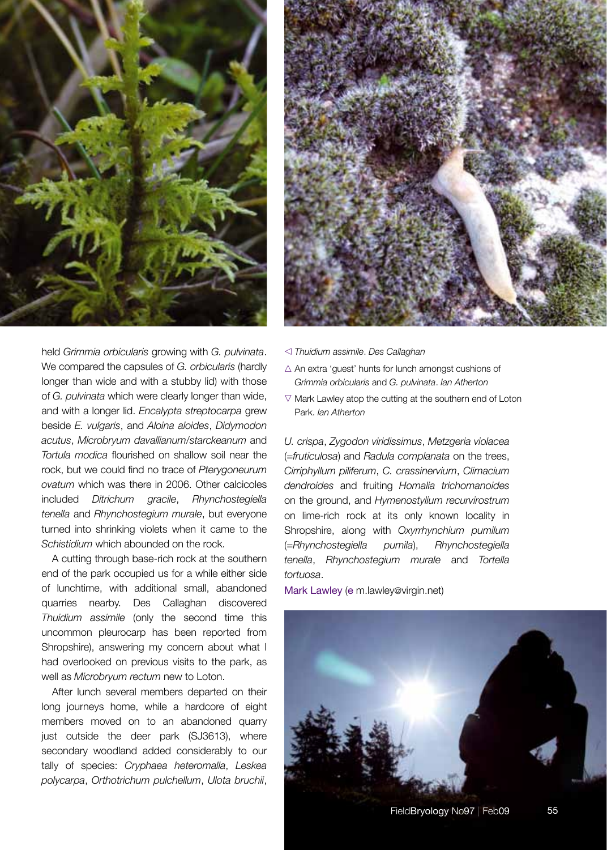

longer than wide and with a stubby lid) with those Grimmia orbicularis and G. pulvinata. Ian Atherton of *G. pulvinata* which were clearly longer than wide,  $\Box$   $\Box$  Mark Lawley atop the cutting at the southe held *Grimmia orbicularis* growing with *G. pulvinata*. We compared the capsules of *G. orbicularis* (hardly and with a longer lid. *Encalypta streptocarpa* grew beside *E. vulgaris*, and *Aloina aloides*, *Didymodon acutus*, *Microbryum davallianum*/*starckeanum* and *Tortula modica* flourished on shallow soil near the rock, but we could find no trace of *Pterygoneurum ovatum* which was there in 2006. Other calcicoles included *Ditrichum gracile*, *Rhynchostegiella tenella* and *Rhynchostegium murale*, but everyone turned into shrinking violets when it came to the *Schistidium* which abounded on the rock.

well as *Microbryum rectum* new to Loton. A cutting through base-rich rock at the southern end of the park occupied us for a while either side of lunchtime, with additional small, abandoned quarries nearby. Des Callaghan discovered *Thuidium assimile* (only the second time this uncommon pleurocarp has been reported from Shropshire), answering my concern about what I had overlooked on previous visits to the park, as

After lunch several members departed on their long journeys home, while a hardcore of eight members moved on to an abandoned quarry just outside the deer park (SJ3613), where secondary woodland added considerably to our tally of species: *Cryphaea heteromalla*, *Leskea polycarpa*, *Orthotrichum pulchellum*, *Ulota bruchii*,



- v *Thuidium assimile*. *Des Callaghan*
- $\triangle$  An extra 'quest' hunts for lunch amongst cushions of *Grimmia orbicularis* and *G. pulvinata*. *Ian Atherton*
- $\nabla$  Mark Lawley atop the cutting at the southern end of Loton Park. *Ian Atherton*

*U. crispa*, *Zygodon viridissimus*, *Metzgeria violacea*  (=*fruticulosa*) and *Radula complanata* on the trees, *Cirriphyllum piliferum*, *C. crassinervium*, *Climacium dendroides* and fruiting *Homalia trichomanoides*  on the ground, and *Hymenostylium recurvirostrum*  on lime-rich rock at its only known locality in Shropshire, along with *Oxyrrhynchium pumilum*  (=*Rhynchostegiella pumila*), *Rhynchostegiella tenella*, *Rhynchostegium murale* and *Tortella tortuosa*.

Mark Lawley (e m.lawley@virgin.net)